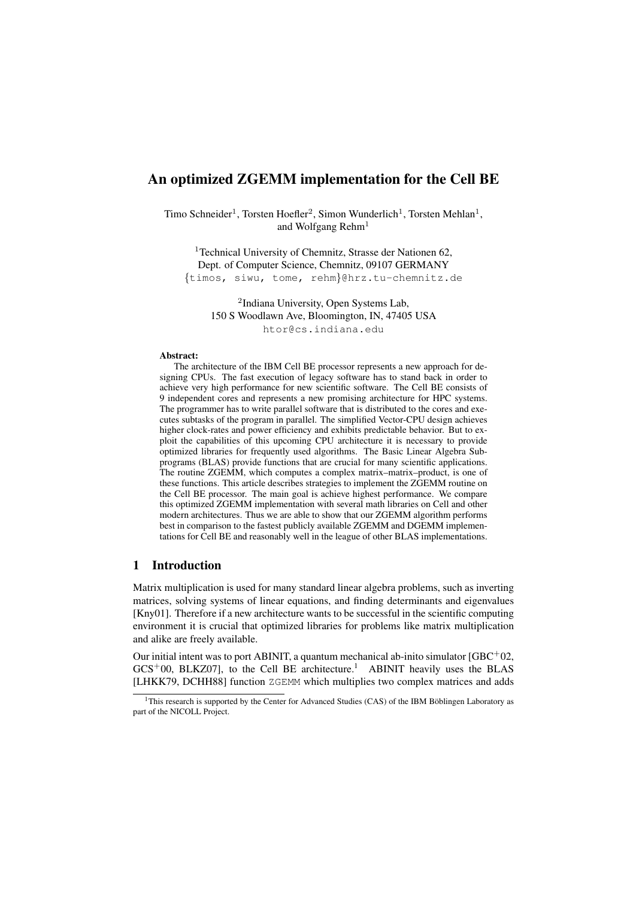# An optimized ZGEMM implementation for the Cell BE

Timo Schneider<sup>1</sup>, Torsten Hoefler<sup>2</sup>, Simon Wunderlich<sup>1</sup>, Torsten Mehlan<sup>1</sup>, and Wolfgang Rehm<sup>1</sup>

<sup>1</sup>Technical University of Chemnitz, Strasse der Nationen 62, Dept. of Computer Science, Chemnitz, 09107 GERMANY {timos, siwu, tome, rehm}@hrz.tu-chemnitz.de

> 2 Indiana University, Open Systems Lab, 150 S Woodlawn Ave, Bloomington, IN, 47405 USA htor@cs.indiana.edu

#### Abstract:

The architecture of the IBM Cell BE processor represents a new approach for designing CPUs. The fast execution of legacy software has to stand back in order to achieve very high performance for new scientific software. The Cell BE consists of 9 independent cores and represents a new promising architecture for HPC systems. The programmer has to write parallel software that is distributed to the cores and executes subtasks of the program in parallel. The simplified Vector-CPU design achieves higher clock-rates and power efficiency and exhibits predictable behavior. But to exploit the capabilities of this upcoming CPU architecture it is necessary to provide optimized libraries for frequently used algorithms. The Basic Linear Algebra Subprograms (BLAS) provide functions that are crucial for many scientific applications. The routine ZGEMM, which computes a complex matrix–matrix–product, is one of these functions. This article describes strategies to implement the ZGEMM routine on the Cell BE processor. The main goal is achieve highest performance. We compare this optimized ZGEMM implementation with several math libraries on Cell and other modern architectures. Thus we are able to show that our ZGEMM algorithm performs best in comparison to the fastest publicly available ZGEMM and DGEMM implementations for Cell BE and reasonably well in the league of other BLAS implementations.

### 1 Introduction

Matrix multiplication is used for many standard linear algebra problems, such as inverting matrices, solving systems of linear equations, and finding determinants and eigenvalues [Kny01]. Therefore if a new architecture wants to be successful in the scientific computing environment it is crucial that optimized libraries for problems like matrix multiplication and alike are freely available.

Our initial intent was to port ABINIT, a quantum mechanical ab-inito simulator  $[GBC^+02,$  $GCS<sup>+</sup>00$ , BLKZ07], to the Cell BE architecture.<sup>1</sup> ABINIT heavily uses the BLAS [LHKK79, DCHH88] function ZGEMM which multiplies two complex matrices and adds

 $1$ This research is supported by the Center for Advanced Studies (CAS) of the IBM Böblingen Laboratory as part of the NICOLL Project.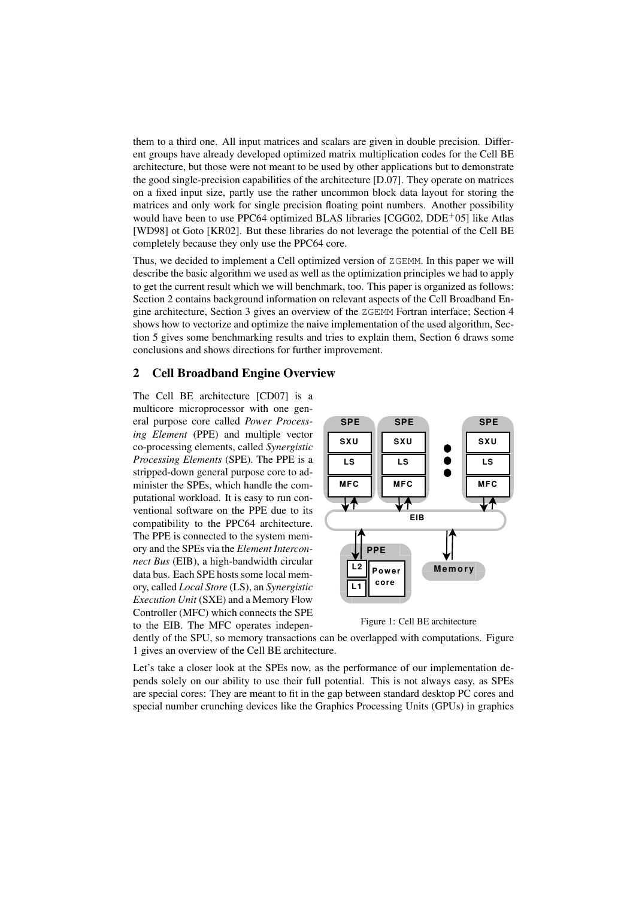them to a third one. All input matrices and scalars are given in double precision. Different groups have already developed optimized matrix multiplication codes for the Cell BE architecture, but those were not meant to be used by other applications but to demonstrate the good single-precision capabilities of the architecture [D.07]. They operate on matrices on a fixed input size, partly use the rather uncommon block data layout for storing the matrices and only work for single precision floating point numbers. Another possibility would have been to use PPC64 optimized BLAS libraries [CGG02, DDE<sup>+</sup>05] like Atlas [WD98] ot Goto [KR02]. But these libraries do not leverage the potential of the Cell BE completely because they only use the PPC64 core.

Thus, we decided to implement a Cell optimized version of ZGEMM. In this paper we will describe the basic algorithm we used as well as the optimization principles we had to apply to get the current result which we will benchmark, too. This paper is organized as follows: Section 2 contains background information on relevant aspects of the Cell Broadband Engine architecture, Section 3 gives an overview of the ZGEMM Fortran interface; Section 4 shows how to vectorize and optimize the naive implementation of the used algorithm, Section 5 gives some benchmarking results and tries to explain them, Section 6 draws some conclusions and shows directions for further improvement.

### 2 Cell Broadband Engine Overview

The Cell BE architecture [CD07] is a multicore microprocessor with one general purpose core called *Power Processing Element* (PPE) and multiple vector co-processing elements, called *Synergistic Processing Elements* (SPE). The PPE is a stripped-down general purpose core to administer the SPEs, which handle the computational workload. It is easy to run conventional software on the PPE due to its compatibility to the PPC64 architecture. The PPE is connected to the system memory and the SPEs via the *Element Interconnect Bus* (EIB), a high-bandwidth circular data bus. Each SPE hosts some local memory, called *Local Store* (LS), an *Synergistic Execution Unit* (SXE) and a Memory Flow Controller (MFC) which connects the SPE to the EIB. The MFC operates indepen-



Figure 1: Cell BE architecture

dently of the SPU, so memory transactions can be overlapped with computations. Figure 1 gives an overview of the Cell BE architecture.

Let's take a closer look at the SPEs now, as the performance of our implementation depends solely on our ability to use their full potential. This is not always easy, as SPEs are special cores: They are meant to fit in the gap between standard desktop PC cores and special number crunching devices like the Graphics Processing Units (GPUs) in graphics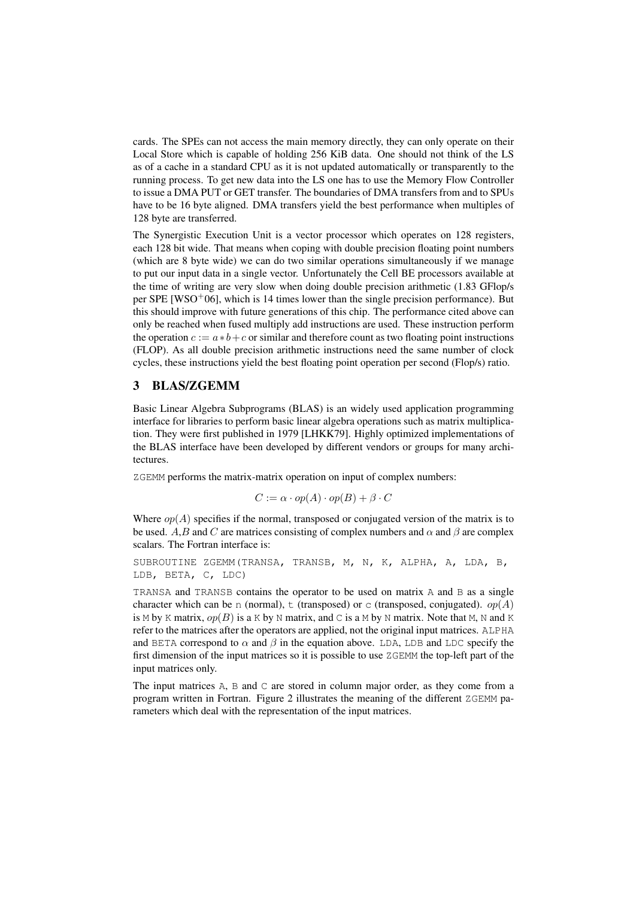cards. The SPEs can not access the main memory directly, they can only operate on their Local Store which is capable of holding 256 KiB data. One should not think of the LS as of a cache in a standard CPU as it is not updated automatically or transparently to the running process. To get new data into the LS one has to use the Memory Flow Controller to issue a DMA PUT or GET transfer. The boundaries of DMA transfers from and to SPUs have to be 16 byte aligned. DMA transfers yield the best performance when multiples of 128 byte are transferred.

The Synergistic Execution Unit is a vector processor which operates on 128 registers, each 128 bit wide. That means when coping with double precision floating point numbers (which are 8 byte wide) we can do two similar operations simultaneously if we manage to put our input data in a single vector. Unfortunately the Cell BE processors available at the time of writing are very slow when doing double precision arithmetic (1.83 GFlop/s per SPE [WSO+06], which is 14 times lower than the single precision performance). But this should improve with future generations of this chip. The performance cited above can only be reached when fused multiply add instructions are used. These instruction perform the operation  $c := a * b + c$  or similar and therefore count as two floating point instructions (FLOP). As all double precision arithmetic instructions need the same number of clock cycles, these instructions yield the best floating point operation per second (Flop/s) ratio.

### 3 BLAS/ZGEMM

Basic Linear Algebra Subprograms (BLAS) is an widely used application programming interface for libraries to perform basic linear algebra operations such as matrix multiplication. They were first published in 1979 [LHKK79]. Highly optimized implementations of the BLAS interface have been developed by different vendors or groups for many architectures.

ZGEMM performs the matrix-matrix operation on input of complex numbers:

$$
C := \alpha \cdot op(A) \cdot op(B) + \beta \cdot C
$$

Where  $op(A)$  specifies if the normal, transposed or conjugated version of the matrix is to be used. A,B and C are matrices consisting of complex numbers and  $\alpha$  and  $\beta$  are complex scalars. The Fortran interface is:

SUBROUTINE ZGEMM(TRANSA, TRANSB, M, N, K, ALPHA, A, LDA, B, LDB, BETA, C, LDC)

TRANSA and TRANSB contains the operator to be used on matrix A and B as a single character which can be n (normal),  $\pm$  (transposed) or c (transposed, conjugated).  $op(A)$ is M by K matrix,  $op(B)$  is a K by N matrix, and C is a M by N matrix. Note that M, N and K refer to the matrices after the operators are applied, not the original input matrices. ALPHA and BETA correspond to  $\alpha$  and  $\beta$  in the equation above. LDA, LDB and LDC specify the first dimension of the input matrices so it is possible to use ZGEMM the top-left part of the input matrices only.

The input matrices A, B and C are stored in column major order, as they come from a program written in Fortran. Figure 2 illustrates the meaning of the different ZGEMM parameters which deal with the representation of the input matrices.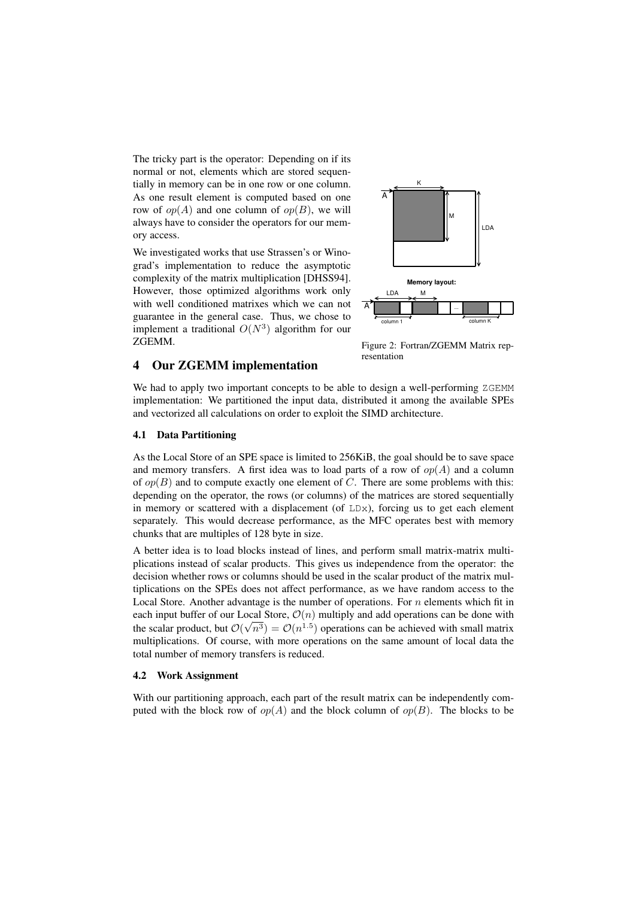The tricky part is the operator: Depending on if its normal or not, elements which are stored sequentially in memory can be in one row or one column. As one result element is computed based on one row of  $op(A)$  and one column of  $op(B)$ , we will always have to consider the operators for our memory access.

We investigated works that use Strassen's or Winograd's implementation to reduce the asymptotic complexity of the matrix multiplication [DHSS94]. However, those optimized algorithms work only with well conditioned matrixes which we can not guarantee in the general case. Thus, we chose to implement a traditional  $O(N^3)$  algorithm for our ZGEMM.

4 Our ZGEMM implementation



Figure 2: Fortran/ZGEMM Matrix representation

We had to apply two important concepts to be able to design a well-performing  $ZGEMM$ implementation: We partitioned the input data, distributed it among the available SPEs and vectorized all calculations on order to exploit the SIMD architecture.

#### 4.1 Data Partitioning

As the Local Store of an SPE space is limited to 256KiB, the goal should be to save space and memory transfers. A first idea was to load parts of a row of  $op(A)$  and a column of  $op(B)$  and to compute exactly one element of C. There are some problems with this: depending on the operator, the rows (or columns) of the matrices are stored sequentially in memory or scattered with a displacement (of  $LDx$ ), forcing us to get each element separately. This would decrease performance, as the MFC operates best with memory chunks that are multiples of 128 byte in size.

A better idea is to load blocks instead of lines, and perform small matrix-matrix multiplications instead of scalar products. This gives us independence from the operator: the decision whether rows or columns should be used in the scalar product of the matrix multiplications on the SPEs does not affect performance, as we have random access to the Local Store. Another advantage is the number of operations. For  $n$  elements which fit in each input buffer of our Local Store,  $\mathcal{O}(n)$  multiply and add operations can be done with the scalar product, but  $\mathcal{O}(\sqrt{n^3}) = \mathcal{O}(n^{1.5})$  operations can be achieved with small matrix multiplications. Of course, with more operations on the same amount of local data the total number of memory transfers is reduced.

#### 4.2 Work Assignment

With our partitioning approach, each part of the result matrix can be independently computed with the block row of  $op(A)$  and the block column of  $op(B)$ . The blocks to be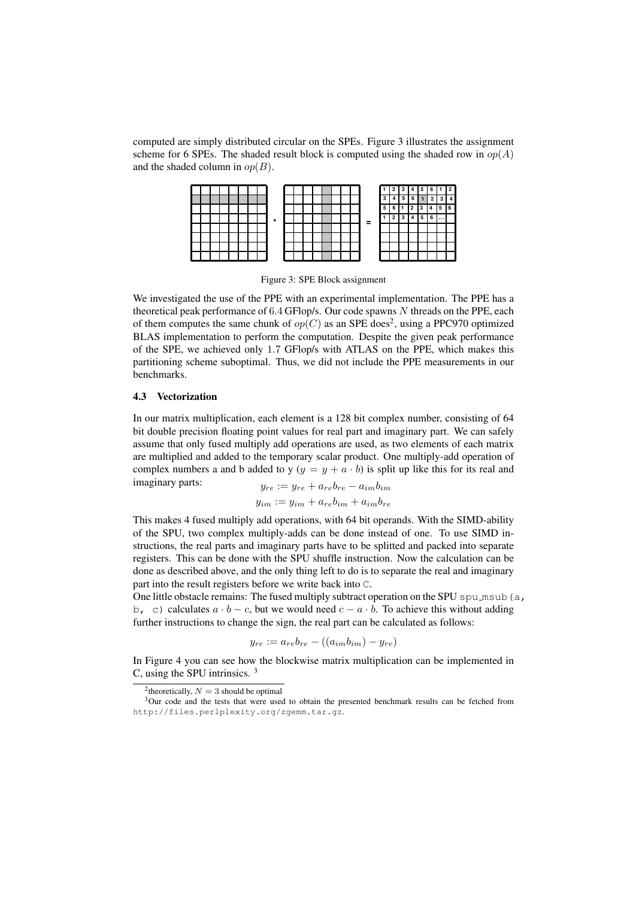computed are simply distributed circular on the SPEs. Figure 3 illustrates the assignment scheme for 6 SPEs. The shaded result block is computed using the shaded row in  $op(A)$ and the shaded column in  $op(B)$ .

|  |  |  |  |         |  |  |  |  |   |    |   |  |   | 2 |
|--|--|--|--|---------|--|--|--|--|---|----|---|--|---|---|
|  |  |  |  |         |  |  |  |  |   |    |   |  |   |   |
|  |  |  |  | $\star$ |  |  |  |  | = | 'n | o |  |   | հ |
|  |  |  |  |         |  |  |  |  |   |    |   |  | 6 |   |
|  |  |  |  |         |  |  |  |  |   |    |   |  |   |   |
|  |  |  |  |         |  |  |  |  |   |    |   |  |   |   |
|  |  |  |  |         |  |  |  |  |   |    |   |  |   |   |
|  |  |  |  |         |  |  |  |  |   |    |   |  |   |   |

Figure 3: SPE Block assignment

We investigated the use of the PPE with an experimental implementation. The PPE has a theoretical peak performance of 6.4 GFlop/s. Our code spawns N threads on the PPE, each of them computes the same chunk of  $op(C)$  as an SPE does<sup>2</sup>, using a PPC970 optimized BLAS implementation to perform the computation. Despite the given peak performance of the SPE, we achieved only 1.7 GFlop/s with ATLAS on the PPE, which makes this partitioning scheme suboptimal. Thus, we did not include the PPE measurements in our benchmarks.

### 4.3 Vectorization

In our matrix multiplication, each element is a 128 bit complex number, consisting of 64 bit double precision floating point values for real part and imaginary part. We can safely assume that only fused multiply add operations are used, as two elements of each matrix are multiplied and added to the temporary scalar product. One multiply-add operation of complex numbers a and b added to y ( $y = y + a \cdot b$ ) is split up like this for its real and imaginary parts:  $y_{re} := y_{re} + a_{re}b_{re} - a_{im}b_{im}$ 

$$
y_{im} := y_{im} + a_{re}b_{im} + a_{im}b_{re}
$$

This makes 4 fused multiply add operations, with 64 bit operands. With the SIMD-ability of the SPU, two complex multiply-adds can be done instead of one. To use SIMD instructions, the real parts and imaginary parts have to be splitted and packed into separate registers. This can be done with the SPU shuffle instruction. Now the calculation can be done as described above, and the only thing left to do is to separate the real and imaginary part into the result registers before we write back into C.

One little obstacle remains: The fused multiply subtract operation on the SPU spu msub (a, b, c) calculates  $a \cdot b - c$ , but we would need  $c - a \cdot b$ . To achieve this without adding further instructions to change the sign, the real part can be calculated as follows:

$$
y_{re} := a_{re}b_{re} - ((a_{im}b_{im}) - y_{re})
$$

In Figure 4 you can see how the blockwise matrix multiplication can be implemented in C, using the SPU intrinsics. <sup>3</sup>

<sup>&</sup>lt;sup>2</sup>theoretically,  $N = 3$  should be optimal

<sup>&</sup>lt;sup>3</sup>Our code and the tests that were used to obtain the presented benchmark results can be fetched from http://files.perlplexity.org/zgemm.tar.gz.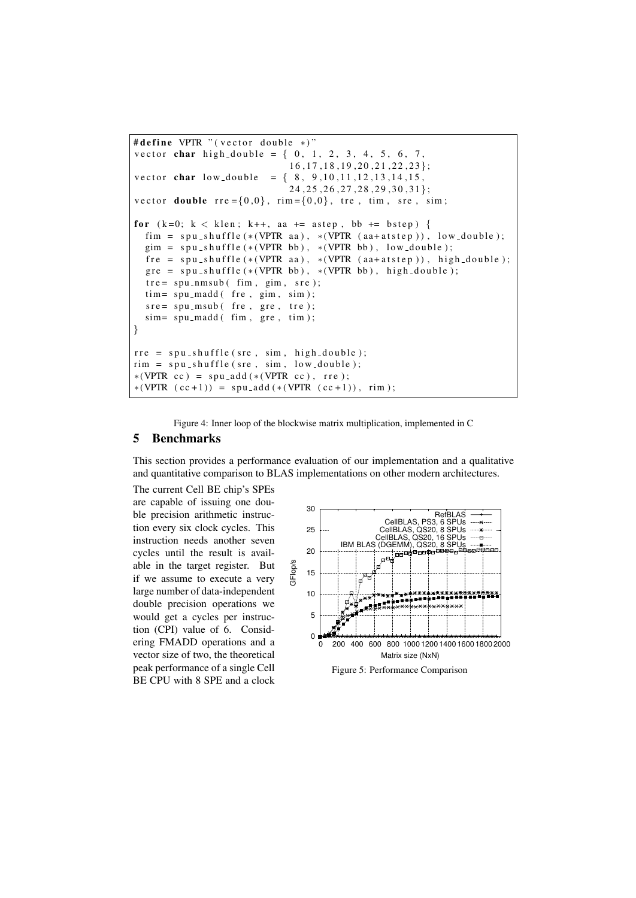```
# define VPTR " (vector double *)"
vector char high double = \{0, 1, 2, 3, 4, 5, 6, 7,16, 17, 18, 19, 20, 21, 22, 23 ;
vector char low\_double = \{ 8, 9, 10, 11, 12, 13, 14, 15,24, 25, 26, 27, 28, 29, 30, 31;
vector double \text{rre} = \{0,0\}, \text{rim} = \{0,0\}, \text{tre}, \text{tim}, \text{src}, \text{sim};
for (k=0; k < klen; k++, aa += a step, bb += bstep) {
  fim = spu_shuffle(*(VPTR aa), *(VPTR (aa+atstep)), low_double);
  gim = spu_shuffle (*(VPTR bb), *(VPTR bb), low_double);fre = spu_shuffle(*(VPTR aa), *(VPTR (aa+atstep)), high_double);
  gre = spu-shuffle (*(VPTR bb), *(VPTR bb), high_double);
  tre = spu_nmsub ( \text{ fim}, \text{sim}, \text{src});
  tim= spu_madd( fre, gim, sim);
  \text{src} = \text{spu} \text{.msub}(\text{fre}, \text{gre}, \text{tre});sim= spu_madd( fim, gre, tim);
}
rre = spu_shuffle(sre, sim, high_double);
rim = spu_shuffle (sre, sim, low_double);*(VPTR cc) = spu.add(* (VPTR cc), rre);*(VPTR (cc+1)) = spu\_add (* (VPTR (cc+1)), rim);
```
Figure 4: Inner loop of the blockwise matrix multiplication, implemented in C

### 5 Benchmarks

This section provides a performance evaluation of our implementation and a qualitative and quantitative comparison to BLAS implementations on other modern architectures.

The current Cell BE chip's SPEs are capable of issuing one double precision arithmetic instruction every six clock cycles. This instruction needs another seven cycles until the result is available in the target register. But if we assume to execute a very large number of data-independent double precision operations we would get a cycles per instruction (CPI) value of 6. Considering FMADD operations and a vector size of two, the theoretical peak performance of a single Cell BE CPU with 8 SPE and a clock

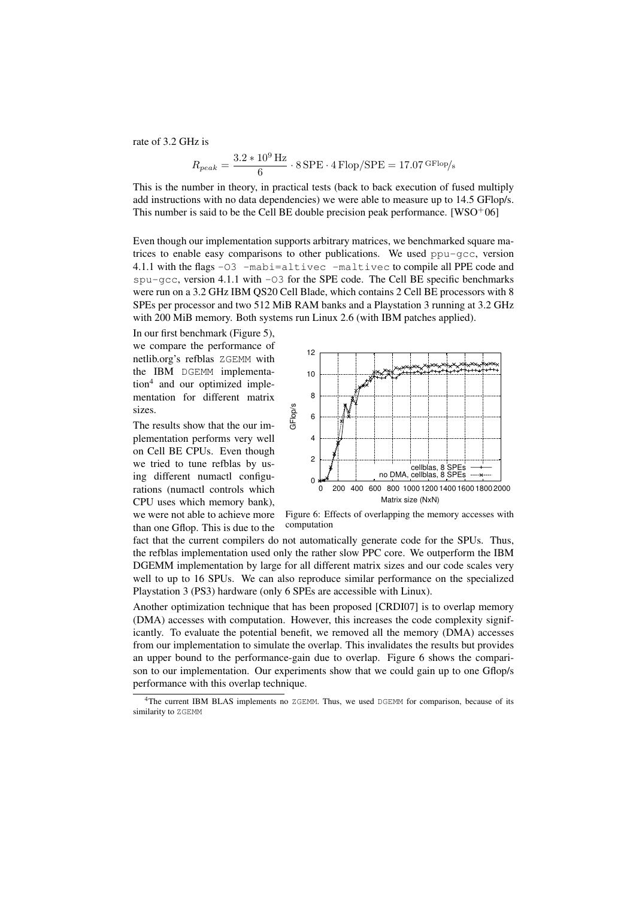rate of 3.2 GHz is

$$
R_{peak} = \frac{3.2 * 10^9 \,\text{Hz}}{6} \cdot 8 \,\text{SPE} \cdot 4 \,\text{Flop}/\text{SPE} = 17.07 \,\text{GFlop/s}
$$

This is the number in theory, in practical tests (back to back execution of fused multiply add instructions with no data dependencies) we were able to measure up to 14.5 GFlop/s. This number is said to be the Cell BE double precision peak performance.  $[WSO^+06]$ 

Even though our implementation supports arbitrary matrices, we benchmarked square matrices to enable easy comparisons to other publications. We used  $ppu-qcc$ , version 4.1.1 with the flags -O3 -mabi=altivec -maltivec to compile all PPE code and  $spu-gcc$ , version 4.1.1 with  $-03$  for the SPE code. The Cell BE specific benchmarks were run on a 3.2 GHz IBM QS20 Cell Blade, which contains 2 Cell BE processors with 8 SPEs per processor and two 512 MiB RAM banks and a Playstation 3 running at 3.2 GHz with 200 MiB memory. Both systems run Linux 2.6 (with IBM patches applied).

In our first benchmark (Figure 5), we compare the performance of netlib.org's refblas ZGEMM with the IBM DGEMM implementation<sup>4</sup> and our optimized implementation for different matrix sizes.

The results show that the our implementation performs very well on Cell BE CPUs. Even though we tried to tune refblas by using different numactl configurations (numactl controls which CPU uses which memory bank), we were not able to achieve more than one Gflop. This is due to the



Figure 6: Effects of overlapping the memory accesses with computation

fact that the current compilers do not automatically generate code for the SPUs. Thus, the refblas implementation used only the rather slow PPC core. We outperform the IBM DGEMM implementation by large for all different matrix sizes and our code scales very well to up to 16 SPUs. We can also reproduce similar performance on the specialized Playstation 3 (PS3) hardware (only 6 SPEs are accessible with Linux).

Another optimization technique that has been proposed [CRDI07] is to overlap memory (DMA) accesses with computation. However, this increases the code complexity significantly. To evaluate the potential benefit, we removed all the memory (DMA) accesses from our implementation to simulate the overlap. This invalidates the results but provides an upper bound to the performance-gain due to overlap. Figure 6 shows the comparison to our implementation. Our experiments show that we could gain up to one Gflop/s performance with this overlap technique.

<sup>4</sup>The current IBM BLAS implements no ZGEMM. Thus, we used DGEMM for comparison, because of its similarity to ZGEMM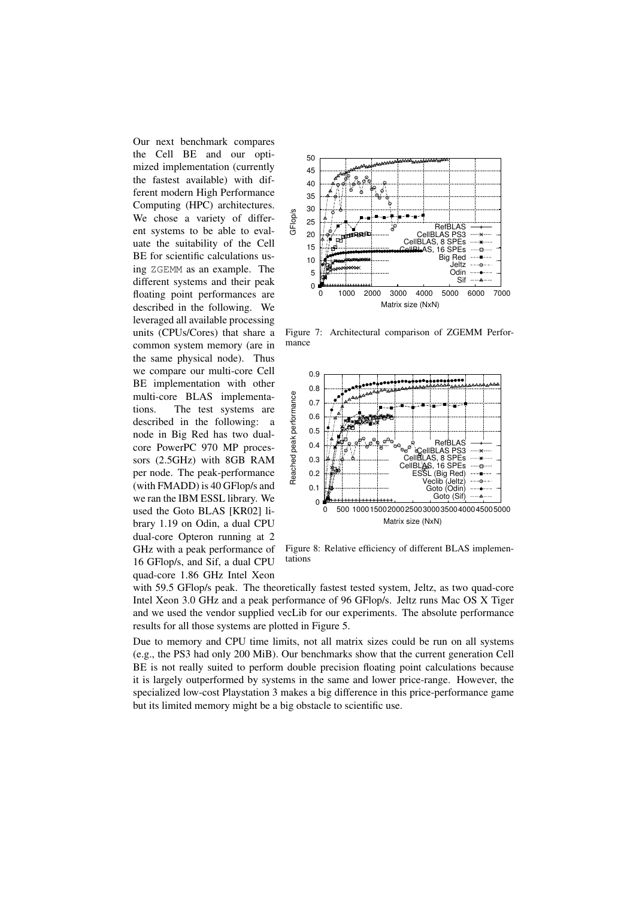Our next benchmark compares the Cell BE and our optimized implementation (currently the fastest available) with different modern High Performance Computing (HPC) architectures. We chose a variety of different systems to be able to evaluate the suitability of the Cell BE for scientific calculations using ZGEMM as an example. The different systems and their peak floating point performances are described in the following. We leveraged all available processing units (CPUs/Cores) that share a common system memory (are in the same physical node). Thus we compare our multi-core Cell BE implementation with other multi-core BLAS implementations. The test systems are described in the following: a node in Big Red has two dualcore PowerPC 970 MP processors (2.5GHz) with 8GB RAM per node. The peak-performance (with FMADD) is 40 GFlop/s and we ran the IBM ESSL library. We used the Goto BLAS [KR02] library 1.19 on Odin, a dual CPU dual-core Opteron running at 2 GHz with a peak performance of 16 GFlop/s, and Sif, a dual CPU quad-core 1.86 GHz Intel Xeon



Figure 7: Architectural comparison of ZGEMM Performance



Figure 8: Relative efficiency of different BLAS implementations

with 59.5 GFlop/s peak. The theoretically fastest tested system, Jeltz, as two quad-core Intel Xeon 3.0 GHz and a peak performance of 96 GFlop/s. Jeltz runs Mac OS X Tiger and we used the vendor supplied vecLib for our experiments. The absolute performance results for all those systems are plotted in Figure 5.

Due to memory and CPU time limits, not all matrix sizes could be run on all systems (e.g., the PS3 had only 200 MiB). Our benchmarks show that the current generation Cell BE is not really suited to perform double precision floating point calculations because it is largely outperformed by systems in the same and lower price-range. However, the specialized low-cost Playstation 3 makes a big difference in this price-performance game but its limited memory might be a big obstacle to scientific use.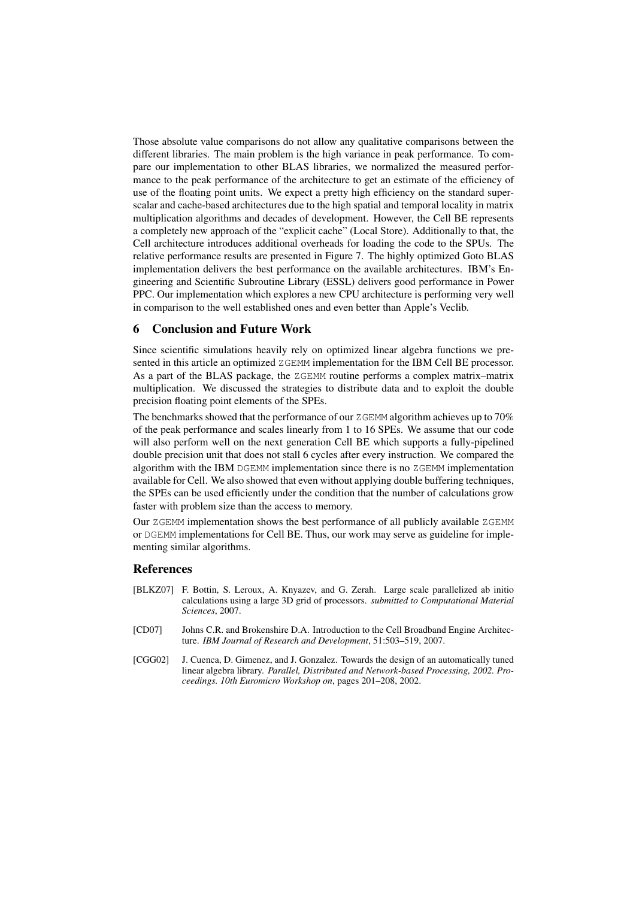Those absolute value comparisons do not allow any qualitative comparisons between the different libraries. The main problem is the high variance in peak performance. To compare our implementation to other BLAS libraries, we normalized the measured performance to the peak performance of the architecture to get an estimate of the efficiency of use of the floating point units. We expect a pretty high efficiency on the standard superscalar and cache-based architectures due to the high spatial and temporal locality in matrix multiplication algorithms and decades of development. However, the Cell BE represents a completely new approach of the "explicit cache" (Local Store). Additionally to that, the Cell architecture introduces additional overheads for loading the code to the SPUs. The relative performance results are presented in Figure 7. The highly optimized Goto BLAS implementation delivers the best performance on the available architectures. IBM's Engineering and Scientific Subroutine Library (ESSL) delivers good performance in Power PPC. Our implementation which explores a new CPU architecture is performing very well in comparison to the well established ones and even better than Apple's Veclib.

## 6 Conclusion and Future Work

Since scientific simulations heavily rely on optimized linear algebra functions we presented in this article an optimized ZGEMM implementation for the IBM Cell BE processor. As a part of the BLAS package, the ZGEMM routine performs a complex matrix–matrix multiplication. We discussed the strategies to distribute data and to exploit the double precision floating point elements of the SPEs.

The benchmarks showed that the performance of our ZGEMM algorithm achieves up to 70% of the peak performance and scales linearly from 1 to 16 SPEs. We assume that our code will also perform well on the next generation Cell BE which supports a fully-pipelined double precision unit that does not stall 6 cycles after every instruction. We compared the algorithm with the IBM DGEMM implementation since there is no ZGEMM implementation available for Cell. We also showed that even without applying double buffering techniques, the SPEs can be used efficiently under the condition that the number of calculations grow faster with problem size than the access to memory.

Our ZGEMM implementation shows the best performance of all publicly available ZGEMM or DGEMM implementations for Cell BE. Thus, our work may serve as guideline for implementing similar algorithms.

### References

- [BLKZ07] F. Bottin, S. Leroux, A. Knyazev, and G. Zerah. Large scale parallelized ab initio calculations using a large 3D grid of processors. *submitted to Computational Material Sciences*, 2007.
- [CD07] Johns C.R. and Brokenshire D.A. Introduction to the Cell Broadband Engine Architecture. *IBM Journal of Research and Development*, 51:503–519, 2007.
- [CGG02] J. Cuenca, D. Gimenez, and J. Gonzalez. Towards the design of an automatically tuned linear algebra library. *Parallel, Distributed and Network-based Processing, 2002. Proceedings. 10th Euromicro Workshop on*, pages 201–208, 2002.